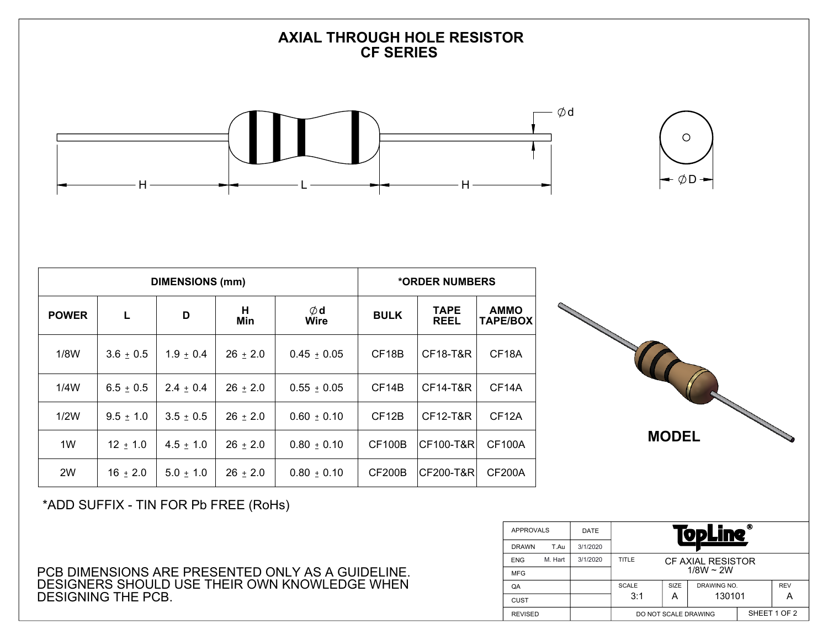## **AXIAL THROUGH HOLE RESISTOR CF SERIES**





|              |               | <b>DIMENSIONS (mm)</b> | *ORDER NUMBERS |                  |                    |                            |                                |
|--------------|---------------|------------------------|----------------|------------------|--------------------|----------------------------|--------------------------------|
| <b>POWER</b> | L             | D                      | H<br>Min       | $\phi$ d<br>Wire | <b>BULK</b>        | <b>TAPE</b><br><b>REEL</b> | <b>AMMO</b><br><b>TAPE/BOX</b> |
| 1/8W         | $3.6 \pm 0.5$ | $1.9 + 0.4$            | $26 \pm 2.0$   | $0.45 \pm 0.05$  | CF <sub>18</sub> B | <b>CF18-T&amp;R</b>        | CF <sub>18</sub> A             |
| 1/4W         | $6.5 \pm 0.5$ | $2.4 + 0.4$            | $26 \pm 2.0$   | $0.55 + 0.05$    | CF <sub>14</sub> B | CF14-T&R                   | CF14A                          |
| 1/2W         | $9.5 \pm 1.0$ | $3.5 \pm 0.5$          | $26 \pm 2.0$   | $0.60 \pm 0.10$  | CF <sub>12</sub> B | CF12-T&R                   | CF <sub>12</sub> A             |
| 1W           | $12 \pm 1.0$  | $4.5 + 1.0$            | $26 \pm 2.0$   | $0.80 \pm 0.10$  | <b>CF100B</b>      | CF100-T&R                  | <b>CF100A</b>                  |
| 2W           | $16 \pm 2.0$  | $5.0 + 1.0$            | $26 \pm 2.0$   | $0.80 \pm 0.10$  | CF200B             | CF200-T&R                  | <b>CF200A</b>                  |



\*ADD SUFFIX - TIN FOR Pb FREE (RoHs)

PCB DIMENSIONS ARE PRESENTED ONLY AS A GUIDELINE. DESIGNERS SHOULD USE THEIR OWN KNOWLEDGE WHEN DESIGNING THE PCB.

| <b>APPROVALS</b> |         | <b>DATE</b> | ◉<br><b>TopLine</b>                 |              |             |            |  |  |
|------------------|---------|-------------|-------------------------------------|--------------|-------------|------------|--|--|
| <b>DRAWN</b>     | T.Au    | 3/1/2020    |                                     |              |             |            |  |  |
| <b>ENG</b>       | M. Hart | 3/1/2020    | TITLE<br>CF AXIAL RESISTOR          |              |             |            |  |  |
| <b>MFG</b>       |         |             | $1/8W \sim 2W$                      |              |             |            |  |  |
| QA               |         |             | SIZE<br>DRAWING NO.<br><b>SCALE</b> |              |             | <b>REV</b> |  |  |
| <b>CUST</b>      |         |             | 3:1                                 | A            | 130101<br>А |            |  |  |
| <b>REVISED</b>   |         |             | DO NOT SCALE DRAWING                | SHEET 1 OF 2 |             |            |  |  |